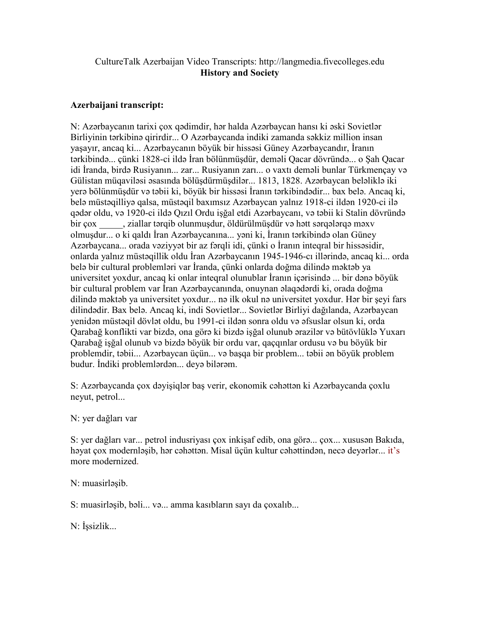## CultureTalk Azerbaijan Video Transcripts: http://langmedia.fivecolleges.edu History and Society

## Azerbaijani transcript:

N: Azərbaycanın tarixi çox qədimdir, hər halda Azərbaycan hansı ki əski Sovietlər Birliyinin tərkibinə qirirdir... O Azərbaycanda indiki zamanda səkkiz million insan yaşayır, ancaq ki... Azərbaycanın böyük bir hissəsi Güney Azərbaycandır, İranın tərkibində... çünki 1828-ci ildə İran bölünmüşdür, deməli Qacar dövründə... o Şah Qacar idi İranda, birdə Rusiyanın... zar... Rusiyanın zarı... o vaxtı deməli bunlar Türkmençay və Gülistan müqaviləsi əsasında bölüşdürmüşdilər... 1813, 1828. Azərbaycan beləliklə iki yerə bölünmüşdür və təbii ki, böyük bir hissəsi İranın tərkibindədir... bax belə. Ancaq ki, belə müstəqilliyə qalsa, müstəqil baxımsız Azərbaycan yalnız 1918-ci ildən 1920-ci ilə qədər oldu, və 1920-ci ildə Qızıl Ordu işğal etdi Azərbaycanı, və təbii ki Stalin dövründə bir çox \_\_\_\_\_, ziallar tərqib olunmuşdur, öldürülmüşdür və hətt sərqələrqə məxv olmuşdur... o ki qaldı İran Azərbaycanına... yəni ki, İranın tərkibində olan Güney Azərbaycana... orada vəziyyət bir az fərqli idi, çünki o İranın inteqral bir hissəsidir, onlarda yalnız müstəqillik oldu İran Azərbaycanın 1945-1946-cı illərində, ancaq ki... orda belə bir cultural problemləri var İranda, çünki onlarda doğma dilində məktəb ya universitet yoxdur, ancaq ki onlar inteqral olunublar İranın içərisində ... bir dənə böyük bir cultural problem var İran Azərbaycanında, onuynan əlaqədərdi ki, orada doğma dilində məktəb ya universitet yoxdur... nə ilk okul nə universitet yoxdur. Hər bir şeyi fars dilindədir. Bax belə. Ancaq ki, indi Sovietlər... Sovietlər Birliyi dağılanda, Azərbaycan yenidən müstəqil dövlət oldu, bu 1991-ci ildən sonra oldu və əfsuslar olsun ki, orda Qarabağ konflikti var bizdə, ona görə ki bizdə işğal olunub ərazilər və bütövlüklə Yuxarı Qarabağ işğal olunub və bizdə böyük bir ordu var, qaçqınlar ordusu və bu böyük bir problemdir, təbii... Azərbaycan üçün... və başqa bir problem... təbii ən böyük problem budur. İndiki problemlərdən... deyə bilərəm.

S: Azərbaycanda çox dəyişiqlər baş verir, ekonomik cəhəttən ki Azərbaycanda çoxlu neyut, petrol...

N: yer dağları var

S: yer dağları var... petrol indusriyası çox inkişaf edib, ona görə... çox... xususən Bakıda, həyat çox modernləşib, hər cəhəttən. Misal üçün kultur cəhəttindən, necə deyərlər... it's more modernized.

N: muasirləşib.

S: muasirləşib, bəli... və... amma kasıbların sayı da çoxalıb...

N: İşsizlik...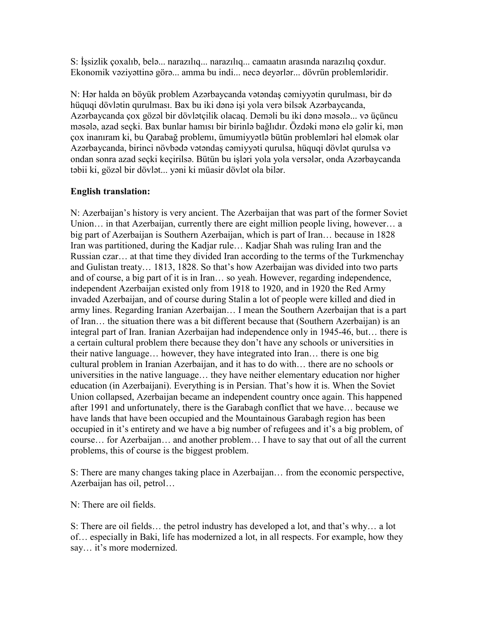S: İşsizlik çoxalıb, belə... narazılıq... narazılıq... camaatın arasında narazılıq çoxdur. Ekonomik vəziyəttinə görə... amma bu indi... necə deyərlər... dövrün problemləridir.

N: Hər halda ən böyük problem Azərbaycanda vətəndaş cəmiyyətin qurulması, bir də hüquqi dövlətin qurulması. Bax bu iki dənə işi yola verə bilsək Azərbaycanda, Azərbaycanda çox gözəl bir dövlətçilik olacaq. Deməli bu iki dənə məsələ... və üçüncu məsələ, azad seçki. Bax bunlar hamısı bir birinlə bağlıdır. Özdəki mənə elə gəlir ki, mən çox inanıram ki, bu Qarabağ problemı, ümumiyyətlə bütün problemləri həl eləmək olar Azərbaycanda, birinci növbədə vətəndaş cəmiyyəti qurulsa, hüquqi dövlət qurulsa və ondan sonra azad seçki keçirilsə. Bütün bu işləri yola yola versələr, onda Azərbaycanda təbii ki, gözəl bir dövlət... yəni ki müasir dövlət ola bilər.

## English translation:

N: Azerbaijan's history is very ancient. The Azerbaijan that was part of the former Soviet Union... in that Azerbaijan, currently there are eight million people living, however... a big part of Azerbaijan is Southern Azerbaijan, which is part of Iran… because in 1828 Iran was partitioned, during the Kadjar rule… Kadjar Shah was ruling Iran and the Russian czar… at that time they divided Iran according to the terms of the Turkmenchay and Gulistan treaty… 1813, 1828. So that's how Azerbaijan was divided into two parts and of course, a big part of it is in Iran… so yeah. However, regarding independence, independent Azerbaijan existed only from 1918 to 1920, and in 1920 the Red Army invaded Azerbaijan, and of course during Stalin a lot of people were killed and died in army lines. Regarding Iranian Azerbaijan… I mean the Southern Azerbaijan that is a part of Iran… the situation there was a bit different because that (Southern Azerbaijan) is an integral part of Iran. Iranian Azerbaijan had independence only in 1945-46, but… there is a certain cultural problem there because they don't have any schools or universities in their native language… however, they have integrated into Iran… there is one big cultural problem in Iranian Azerbaijan, and it has to do with… there are no schools or universities in the native language… they have neither elementary education nor higher education (in Azerbaijani). Everything is in Persian. That's how it is. When the Soviet Union collapsed, Azerbaijan became an independent country once again. This happened after 1991 and unfortunately, there is the Garabagh conflict that we have… because we have lands that have been occupied and the Mountainous Garabagh region has been occupied in it's entirety and we have a big number of refugees and it's a big problem, of course… for Azerbaijan… and another problem… I have to say that out of all the current problems, this of course is the biggest problem.

S: There are many changes taking place in Azerbaijan… from the economic perspective, Azerbaijan has oil, petrol…

N: There are oil fields.

S: There are oil fields… the petrol industry has developed a lot, and that's why… a lot of… especially in Baki, life has modernized a lot, in all respects. For example, how they say… it's more modernized.